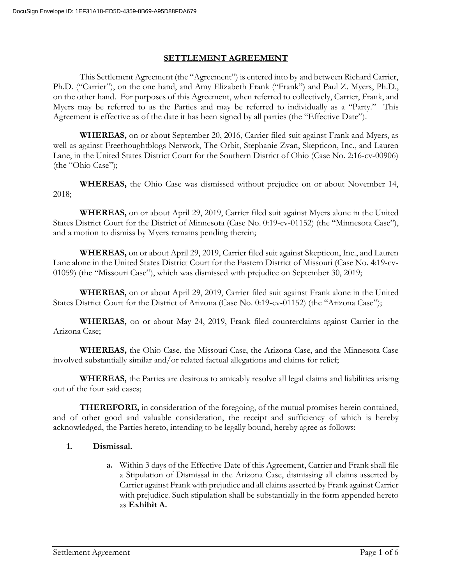#### **SETTLEMENT AGREEMENT**

This Settlement Agreement (the "Agreement") is entered into by and between Richard Carrier, Ph.D. ("Carrier"), on the one hand, and Amy Elizabeth Frank ("Frank") and Paul Z. Myers, Ph.D., on the other hand. For purposes of this Agreement, when referred to collectively, Carrier, Frank, and Myers may be referred to as the Parties and may be referred to individually as a "Party." This Agreement is effective as of the date it has been signed by all parties (the "Effective Date").

**WHEREAS,** on or about September 20, 2016, Carrier filed suit against Frank and Myers, as well as against Freethoughtblogs Network, The Orbit, Stephanie Zvan, Skepticon, Inc., and Lauren Lane, in the United States District Court for the Southern District of Ohio (Case No. 2:16-cv-00906) (the "Ohio Case");

**WHEREAS,** the Ohio Case was dismissed without prejudice on or about November 14, 2018;

**WHEREAS,** on or about April 29, 2019, Carrier filed suit against Myers alone in the United States District Court for the District of Minnesota (Case No. 0:19-cv-01152) (the "Minnesota Case"), and a motion to dismiss by Myers remains pending therein;

**WHEREAS,** on or about April 29, 2019, Carrier filed suit against Skepticon, Inc., and Lauren Lane alone in the United States District Court for the Eastern District of Missouri (Case No. 4:19-cv-01059) (the "Missouri Case"), which was dismissed with prejudice on September 30, 2019;

**WHEREAS,** on or about April 29, 2019, Carrier filed suit against Frank alone in the United States District Court for the District of Arizona (Case No. 0:19-cv-01152) (the "Arizona Case");

**WHEREAS,** on or about May 24, 2019, Frank filed counterclaims against Carrier in the Arizona Case;

**WHEREAS,** the Ohio Case, the Missouri Case, the Arizona Case, and the Minnesota Case involved substantially similar and/or related factual allegations and claims for relief;

**WHEREAS,** the Parties are desirous to amicably resolve all legal claims and liabilities arising out of the four said cases;

**THEREFORE,** in consideration of the foregoing, of the mutual promises herein contained, and of other good and valuable consideration, the receipt and sufficiency of which is hereby acknowledged, the Parties hereto, intending to be legally bound, hereby agree as follows:

### **1. Dismissal.**

**a.** Within 3 days of the Effective Date of this Agreement, Carrier and Frank shall file a Stipulation of Dismissal in the Arizona Case, dismissing all claims asserted by Carrier against Frank with prejudice and all claims asserted by Frank against Carrier with prejudice. Such stipulation shall be substantially in the form appended hereto as **Exhibit A.**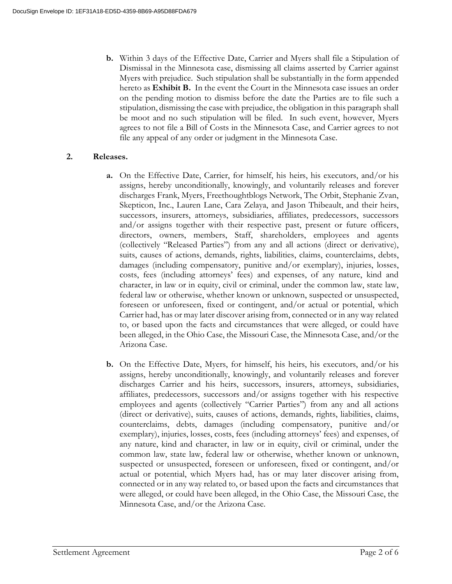**b.** Within 3 days of the Effective Date, Carrier and Myers shall file a Stipulation of Dismissal in the Minnesota case, dismissing all claims asserted by Carrier against Myers with prejudice. Such stipulation shall be substantially in the form appended hereto as **Exhibit B.** In the event the Court in the Minnesota case issues an order on the pending motion to dismiss before the date the Parties are to file such a stipulation, dismissing the case with prejudice, the obligation in this paragraph shall be moot and no such stipulation will be filed. In such event, however, Myers agrees to not file a Bill of Costs in the Minnesota Case, and Carrier agrees to not file any appeal of any order or judgment in the Minnesota Case.

### **2. Releases.**

- **a.** On the Effective Date, Carrier, for himself, his heirs, his executors, and/or his assigns, hereby unconditionally, knowingly, and voluntarily releases and forever discharges Frank, Myers, Freethoughtblogs Network, The Orbit, Stephanie Zvan, Skepticon, Inc., Lauren Lane, Cara Zelaya, and Jason Thibeault, and their heirs, successors, insurers, attorneys, subsidiaries, affiliates, predecessors, successors and/or assigns together with their respective past, present or future officers, directors, owners, members, Staff, shareholders, employees and agents (collectively "Released Parties") from any and all actions (direct or derivative), suits, causes of actions, demands, rights, liabilities, claims, counterclaims, debts, damages (including compensatory, punitive and/or exemplary), injuries, losses, costs, fees (including attorneys' fees) and expenses, of any nature, kind and character, in law or in equity, civil or criminal, under the common law, state law, federal law or otherwise, whether known or unknown, suspected or unsuspected, foreseen or unforeseen, fixed or contingent, and/or actual or potential, which Carrier had, has or may later discover arising from, connected or in any way related to, or based upon the facts and circumstances that were alleged, or could have been alleged, in the Ohio Case, the Missouri Case, the Minnesota Case, and/or the Arizona Case.
- **b.** On the Effective Date, Myers, for himself, his heirs, his executors, and/or his assigns, hereby unconditionally, knowingly, and voluntarily releases and forever discharges Carrier and his heirs, successors, insurers, attorneys, subsidiaries, affiliates, predecessors, successors and/or assigns together with his respective employees and agents (collectively "Carrier Parties") from any and all actions (direct or derivative), suits, causes of actions, demands, rights, liabilities, claims, counterclaims, debts, damages (including compensatory, punitive and/or exemplary), injuries, losses, costs, fees (including attorneys' fees) and expenses, of any nature, kind and character, in law or in equity, civil or criminal, under the common law, state law, federal law or otherwise, whether known or unknown, suspected or unsuspected, foreseen or unforeseen, fixed or contingent, and/or actual or potential, which Myers had, has or may later discover arising from, connected or in any way related to, or based upon the facts and circumstances that were alleged, or could have been alleged, in the Ohio Case, the Missouri Case, the Minnesota Case, and/or the Arizona Case.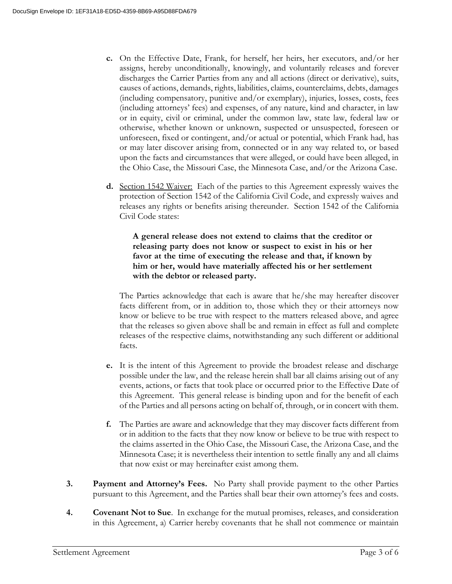- **c.** On the Effective Date, Frank, for herself, her heirs, her executors, and/or her assigns, hereby unconditionally, knowingly, and voluntarily releases and forever discharges the Carrier Parties from any and all actions (direct or derivative), suits, causes of actions, demands, rights, liabilities, claims, counterclaims, debts, damages (including compensatory, punitive and/or exemplary), injuries, losses, costs, fees (including attorneys' fees) and expenses, of any nature, kind and character, in law or in equity, civil or criminal, under the common law, state law, federal law or otherwise, whether known or unknown, suspected or unsuspected, foreseen or unforeseen, fixed or contingent, and/or actual or potential, which Frank had, has or may later discover arising from, connected or in any way related to, or based upon the facts and circumstances that were alleged, or could have been alleged, in the Ohio Case, the Missouri Case, the Minnesota Case, and/or the Arizona Case.
- **d.** Section 1542 Waiver:Each of the parties to this Agreement expressly waives the protection of Section 1542 of the California Civil Code, and expressly waives and releases any rights or benefits arising thereunder. Section 1542 of the California Civil Code states:

**A general release does not extend to claims that the creditor or releasing party does not know or suspect to exist in his or her favor at the time of executing the release and that, if known by him or her, would have materially affected his or her settlement with the debtor or released party.**

The Parties acknowledge that each is aware that he/she may hereafter discover facts different from, or in addition to, those which they or their attorneys now know or believe to be true with respect to the matters released above, and agree that the releases so given above shall be and remain in effect as full and complete releases of the respective claims, notwithstanding any such different or additional facts.

- **e.** It is the intent of this Agreement to provide the broadest release and discharge possible under the law, and the release herein shall bar all claims arising out of any events, actions, or facts that took place or occurred prior to the Effective Date of this Agreement. This general release is binding upon and for the benefit of each of the Parties and all persons acting on behalf of, through, or in concert with them.
- **f.** The Parties are aware and acknowledge that they may discover facts different from or in addition to the facts that they now know or believe to be true with respect to the claims asserted in the Ohio Case, the Missouri Case, the Arizona Case, and the Minnesota Case; it is nevertheless their intention to settle finally any and all claims that now exist or may hereinafter exist among them.
- **3. Payment and Attorney's Fees.** No Party shall provide payment to the other Parties pursuant to this Agreement, and the Parties shall bear their own attorney's fees and costs.
- **4. Covenant Not to Sue**. In exchange for the mutual promises, releases, and consideration in this Agreement, a) Carrier hereby covenants that he shall not commence or maintain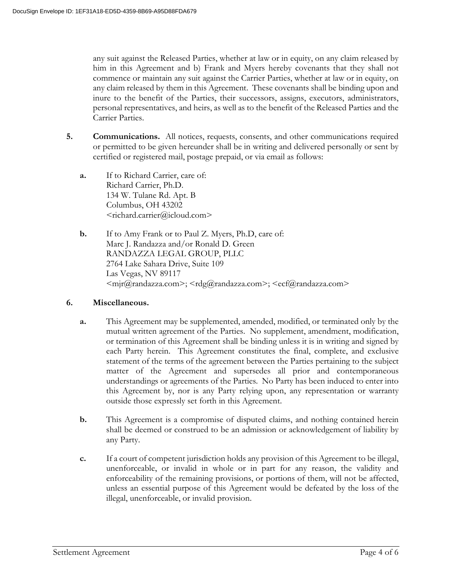any suit against the Released Parties, whether at law or in equity, on any claim released by him in this Agreement and b) Frank and Myers hereby covenants that they shall not commence or maintain any suit against the Carrier Parties, whether at law or in equity, on any claim released by them in this Agreement. These covenants shall be binding upon and inure to the benefit of the Parties, their successors, assigns, executors, administrators, personal representatives, and heirs, as well as to the benefit of the Released Parties and the Carrier Parties.

- **5. Communications.** All notices, requests, consents, and other communications required or permitted to be given hereunder shall be in writing and delivered personally or sent by certified or registered mail, postage prepaid, or via email as follows:
	- **a.** If to Richard Carrier, care of: Richard Carrier, Ph.D. 134 W. Tulane Rd. Apt. B Columbus, OH 43202 <richard.carrier@icloud.com>
	- **b.** If to Amy Frank or to Paul Z. Myers, Ph.D, care of: Marc J. Randazza and/or Ronald D. Green RANDAZZA LEGAL GROUP, PLLC 2764 Lake Sahara Drive, Suite 109 Las Vegas, NV 89117 <mjr@randazza.com>; <rdg@randazza.com>; <ecf@randazza.com>

### **6. Miscellaneous.**

- **a.** This Agreement may be supplemented, amended, modified, or terminated only by the mutual written agreement of the Parties. No supplement, amendment, modification, or termination of this Agreement shall be binding unless it is in writing and signed by each Party herein. This Agreement constitutes the final, complete, and exclusive statement of the terms of the agreement between the Parties pertaining to the subject matter of the Agreement and supersedes all prior and contemporaneous understandings or agreements of the Parties. No Party has been induced to enter into this Agreement by, nor is any Party relying upon, any representation or warranty outside those expressly set forth in this Agreement.
- **b.** This Agreement is a compromise of disputed claims, and nothing contained herein shall be deemed or construed to be an admission or acknowledgement of liability by any Party.
- **c.** If a court of competent jurisdiction holds any provision of this Agreement to be illegal, unenforceable, or invalid in whole or in part for any reason, the validity and enforceability of the remaining provisions, or portions of them, will not be affected, unless an essential purpose of this Agreement would be defeated by the loss of the illegal, unenforceable, or invalid provision.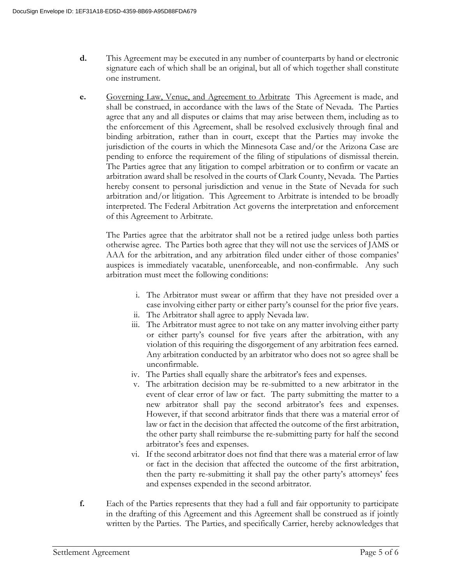- **d.** This Agreement may be executed in any number of counterparts by hand or electronic signature each of which shall be an original, but all of which together shall constitute one instrument.
- **e.** Governing Law, Venue, and Agreement to Arbitrate This Agreement is made, and shall be construed, in accordance with the laws of the State of Nevada. The Parties agree that any and all disputes or claims that may arise between them, including as to the enforcement of this Agreement, shall be resolved exclusively through final and binding arbitration, rather than in court, except that the Parties may invoke the jurisdiction of the courts in which the Minnesota Case and/or the Arizona Case are pending to enforce the requirement of the filing of stipulations of dismissal therein. The Parties agree that any litigation to compel arbitration or to confirm or vacate an arbitration award shall be resolved in the courts of Clark County, Nevada. The Parties hereby consent to personal jurisdiction and venue in the State of Nevada for such arbitration and/or litigation. This Agreement to Arbitrate is intended to be broadly interpreted. The Federal Arbitration Act governs the interpretation and enforcement of this Agreement to Arbitrate.

The Parties agree that the arbitrator shall not be a retired judge unless both parties otherwise agree. The Parties both agree that they will not use the services of JAMS or AAA for the arbitration, and any arbitration filed under either of those companies' auspices is immediately vacatable, unenforceable, and non-confirmable. Any such arbitration must meet the following conditions:

- i. The Arbitrator must swear or affirm that they have not presided over a case involving either party or either party's counsel for the prior five years.
- ii. The Arbitrator shall agree to apply Nevada law.
- iii. The Arbitrator must agree to not take on any matter involving either party or either party's counsel for five years after the arbitration, with any violation of this requiring the disgorgement of any arbitration fees earned. Any arbitration conducted by an arbitrator who does not so agree shall be unconfirmable.
- iv. The Parties shall equally share the arbitrator's fees and expenses.
- v. The arbitration decision may be re-submitted to a new arbitrator in the event of clear error of law or fact. The party submitting the matter to a new arbitrator shall pay the second arbitrator's fees and expenses. However, if that second arbitrator finds that there was a material error of law or fact in the decision that affected the outcome of the first arbitration, the other party shall reimburse the re-submitting party for half the second arbitrator's fees and expenses.
- vi. If the second arbitrator does not find that there was a material error of law or fact in the decision that affected the outcome of the first arbitration, then the party re-submitting it shall pay the other party's attorneys' fees and expenses expended in the second arbitrator.
- **f.** Each of the Parties represents that they had a full and fair opportunity to participate in the drafting of this Agreement and this Agreement shall be construed as if jointly written by the Parties. The Parties, and specifically Carrier, hereby acknowledges that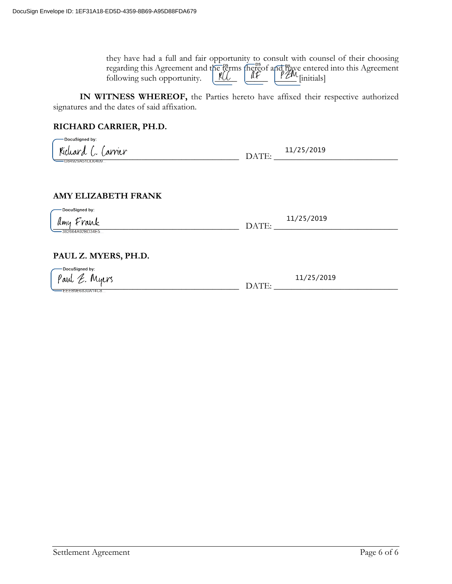| they have had a full and fair opportunity to consult with counsel of their choosing                                                                                                                                                                |  |  |  |
|----------------------------------------------------------------------------------------------------------------------------------------------------------------------------------------------------------------------------------------------------|--|--|--|
| regarding this Agreement and the literature of and literature entered into this Agreement following such opportunity. $\underbrace{\mathcal{K}\mathcal{L}}$ $\underbrace{\mathcal{K}\mathcal{L}}$ $\underbrace{\mathcal{K}\mathcal{L}}$ [initials] |  |  |  |
|                                                                                                                                                                                                                                                    |  |  |  |

**IN WITNESS WHEREOF,** the Parties hereto have affixed their respective authorized signatures and the dates of said affixation.

## **RICHARD CARRIER, PH.D.**

| DocuSigned by:<br>d (, (arrier<br>D84929A51DD0409  | DATE: | 11/25/2019 |
|----------------------------------------------------|-------|------------|
| <b>AMY ELIZABETH FRANK</b>                         |       |            |
| DocuSigned by:<br>Amy Frank                        | DATE: | 11/25/2019 |
| 382664A92BD34E5<br>PAUL Z. MYERS, PH.D.            |       |            |
| DocuSigned by:<br>Paul E. Myers<br>EEEB9E6830A14C8 | DATE: | 11/25/2019 |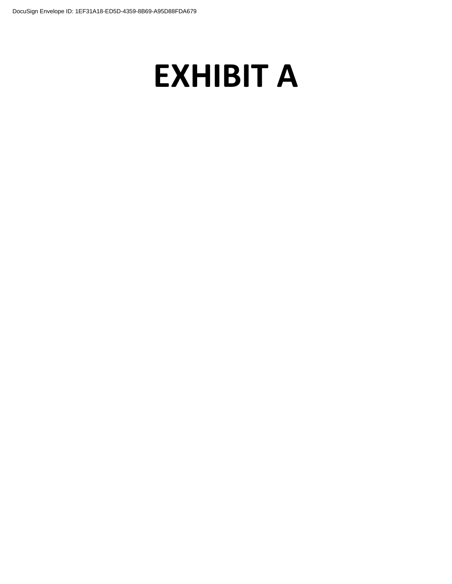# **EXHIBIT A**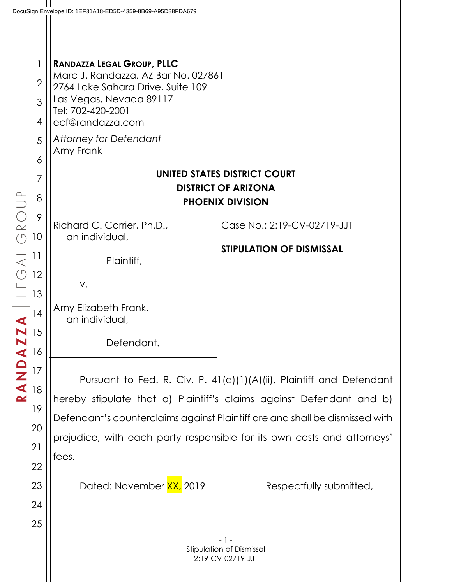2 3 4 5 **RANDAZZA LEGAL GROUP, PLLC** Marc J. Randazza, AZ Bar No. 027861 2764 Lake Sahara Drive, Suite 109 Las Vegas, Nevada 89117 Tel: 702-420-2001 ecf@randazza.com *Attorney for Defendant* Amy Frank **UNITED STATES DISTRICT COURT DISTRICT OF ARIZONA PHOENIX DIVISION** Richard C. Carrier, Ph.D., an individual, Plaintiff, v. Amy Elizabeth Frank, an individual, Case No.: 2:19-CV-02719-JJT **STIPULATION OF DISMISSAL**

Defendant.

Pursuant to Fed. R. Civ. P. 41(a)(1)(A)(ii), Plaintiff and Defendant hereby stipulate that a) Plaintiff's claims against Defendant and b) Defendant's counterclaims against Plaintiff are and shall be dismissed with prejudice, with each party responsible for its own costs and attorneys' fees.

Dated: November  $\frac{XX}{X}$  2019 Respectfully submitted,

22

23

24

25

1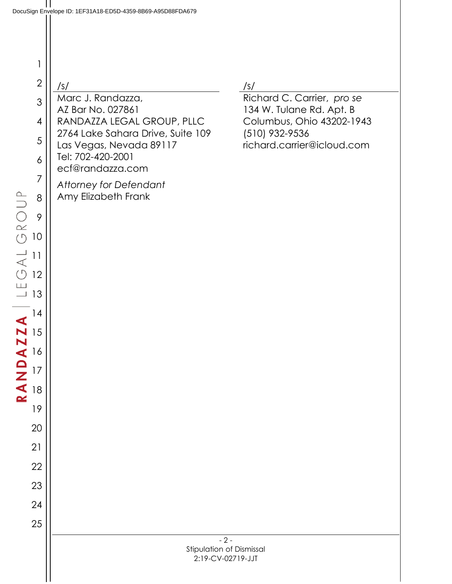1

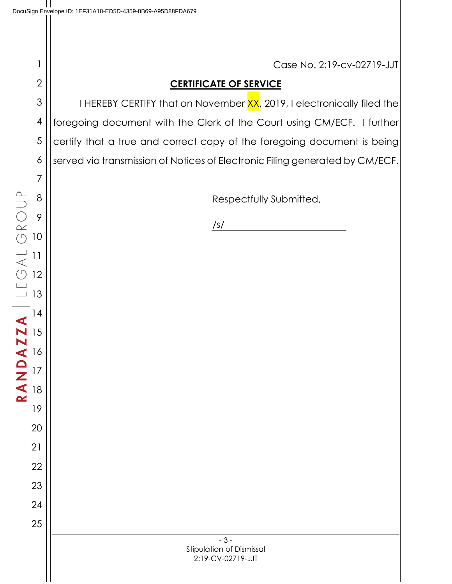- 3 - Stipulation of Dismissal Case No. 2:19-cv-02719-JJT **CERTIFICATE OF SERVICE** I HEREBY CERTIFY that on November XX, 2019, I electronically filed the foregoing document with the Clerk of the Court using CM/ECF. I further certify that a true and correct copy of the foregoing document is being served via transmission of Notices of Electronic Filing generated by CM/ECF. Respectfully Submitted, /s/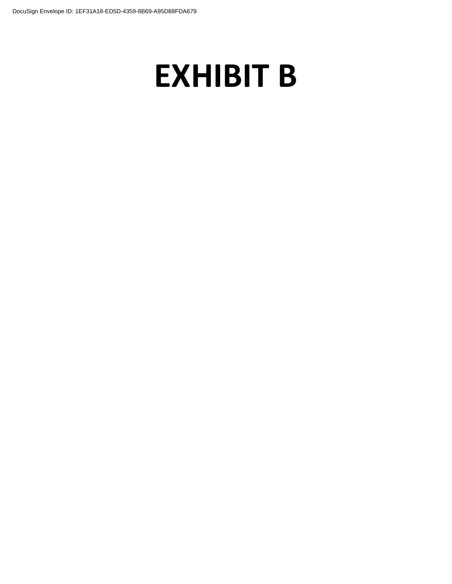# **EXHIBIT B**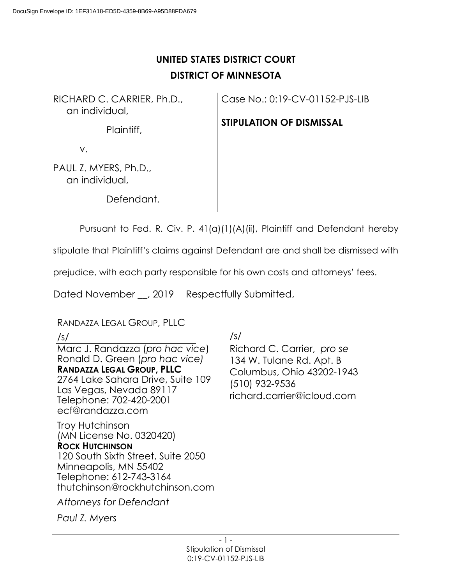# **UNITED STATES DISTRICT COURT DISTRICT OF MINNESOTA**

RICHARD C. CARRIER, Ph.D., an individual,

Plaintiff,

Case No.: 0:19-CV-01152-PJS-LIB

## **STIPULATION OF DISMISSAL**

v.

PAUL Z. MYERS, Ph.D., an individual,

Defendant.

Pursuant to Fed. R. Civ. P. 41(a)(1)(A)(ii), Plaintiff and Defendant hereby

stipulate that Plaintiff's claims against Defendant are and shall be dismissed with

prejudice, with each party responsible for his own costs and attorneys' fees.

Dated November \_, 2019 Respectfully Submitted,

RANDAZZA LEGAL GROUP, PLLC

## /s/

Marc J. Randazza (*pro hac vice*) Ronald D. Green (*pro hac vice)* **RANDAZZA LEGAL GROUP, PLLC** 2764 Lake Sahara Drive, Suite 109 Las Vegas, Nevada 89117 Telephone: 702-420-2001 ecf@randazza.com

Troy Hutchinson (MN License No. 0320420) **ROCK HUTCHINSON** 120 South Sixth Street, Suite 2050 Minneapolis, MN 55402 Telephone: 612-743-3164 thutchinson@rockhutchinson.com

*Attorneys for Defendant*

*Paul Z. Myers*

/s/

Richard C. Carrier, *pro se* 134 W. Tulane Rd. Apt. B Columbus, Ohio 43202-1943 (510) 932-9536 richard.carrier@icloud.com